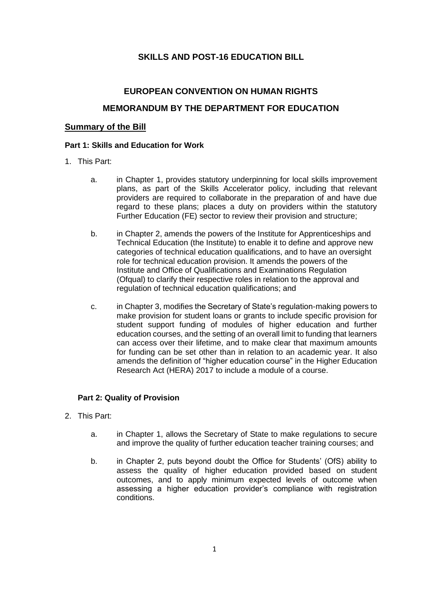# **SKILLS AND POST-16 EDUCATION BILL**

# **EUROPEAN CONVENTION ON HUMAN RIGHTS MEMORANDUM BY THE DEPARTMENT FOR EDUCATION**

#### **Summary of the Bill**

#### **Part 1: Skills and Education for Work**

- 1. This Part:
	- a. in Chapter 1, provides statutory underpinning for local skills improvement plans, as part of the Skills Accelerator policy, including that relevant providers are required to collaborate in the preparation of and have due regard to these plans; places a duty on providers within the statutory Further Education (FE) sector to review their provision and structure;
	- b. in Chapter 2, amends the powers of the Institute for Apprenticeships and Technical Education (the Institute) to enable it to define and approve new categories of technical education qualifications, and to have an oversight role for technical education provision. It amends the powers of the Institute and Office of Qualifications and Examinations Regulation (Ofqual) to clarify their respective roles in relation to the approval and regulation of technical education qualifications; and
	- c. in Chapter 3, modifies the Secretary of State's regulation-making powers to make provision for student loans or grants to include specific provision for student support funding of modules of higher education and further education courses, and the setting of an overall limit to funding that learners can access over their lifetime, and to make clear that maximum amounts for funding can be set other than in relation to an academic year. It also amends the definition of "higher education course" in the Higher Education Research Act (HERA) 2017 to include a module of a course.

### **Part 2: Quality of Provision**

- 2. This Part:
	- a. in Chapter 1, allows the Secretary of State to make regulations to secure and improve the quality of further education teacher training courses; and
	- b. in Chapter 2, puts beyond doubt the Office for Students' (OfS) ability to assess the quality of higher education provided based on student outcomes, and to apply minimum expected levels of outcome when assessing a higher education provider's compliance with registration conditions.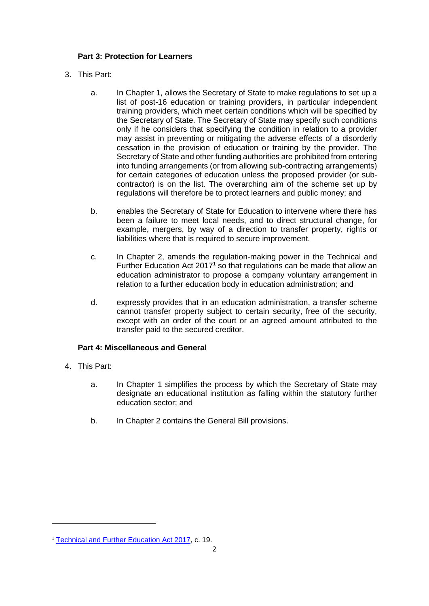# **Part 3: Protection for Learners**

- 3. This Part:
	- a. In Chapter 1, allows the Secretary of State to make regulations to set up a list of post-16 education or training providers, in particular independent training providers, which meet certain conditions which will be specified by the Secretary of State. The Secretary of State may specify such conditions only if he considers that specifying the condition in relation to a provider may assist in preventing or mitigating the adverse effects of a disorderly cessation in the provision of education or training by the provider. The Secretary of State and other funding authorities are prohibited from entering into funding arrangements (or from allowing sub-contracting arrangements) for certain categories of education unless the proposed provider (or subcontractor) is on the list. The overarching aim of the scheme set up by regulations will therefore be to protect learners and public money; and
	- b. enables the Secretary of State for Education to intervene where there has been a failure to meet local needs, and to direct structural change, for example, mergers, by way of a direction to transfer property, rights or liabilities where that is required to secure improvement.
	- c. In Chapter 2, amends the regulation-making power in the Technical and Further Education Act 2017<sup>1</sup> so that regulations can be made that allow an education administrator to propose a company voluntary arrangement in relation to a further education body in education administration; and
	- d. expressly provides that in an education administration, a transfer scheme cannot transfer property subject to certain security, free of the security, except with an order of the court or an agreed amount attributed to the transfer paid to the secured creditor.

# **Part 4: Miscellaneous and General**

- 4. This Part:
	- a. In Chapter 1 simplifies the process by which the Secretary of State may designate an educational institution as falling within the statutory further education sector; and
	- b. In Chapter 2 contains the General Bill provisions.

<sup>&</sup>lt;sup>1</sup> [Technical and Further Education Act 2017,](https://www.legislation.gov.uk/ukpga/2017/19/pdfs/ukpga_20170019_en.pdf#:~:text=Technical%20and%20Further%20Education%20Act%202017%202017%20CHAPTER,Spiritual%20and%20Temporal%2C%20and%20Commons%2C%20in%20this%20present) c. 19.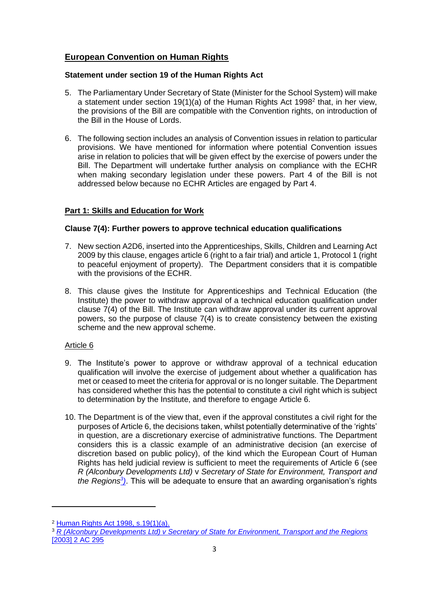# **European Convention on Human Rights**

# **Statement under section 19 of the Human Rights Act**

- 5. The Parliamentary Under Secretary of State (Minister for the School System) will make a statement under section 19(1)(a) of the Human Rights Act 1998<sup>2</sup> that, in her view, the provisions of the Bill are compatible with the Convention rights, on introduction of the Bill in the House of Lords.
- 6. The following section includes an analysis of Convention issues in relation to particular provisions. We have mentioned for information where potential Convention issues arise in relation to policies that will be given effect by the exercise of powers under the Bill. The Department will undertake further analysis on compliance with the ECHR when making secondary legislation under these powers. Part 4 of the Bill is not addressed below because no ECHR Articles are engaged by Part 4.

# **Part 1: Skills and Education for Work**

# **Clause 7(4): Further powers to approve technical education qualifications**

- 7. New section A2D6, inserted into the Apprenticeships, Skills, Children and Learning Act 2009 by this clause, engages article 6 (right to a fair trial) and article 1, Protocol 1 (right to peaceful enjoyment of property). The Department considers that it is compatible with the provisions of the ECHR.
- 8. This clause gives the Institute for Apprenticeships and Technical Education (the Institute) the power to withdraw approval of a technical education qualification under clause 7(4) of the Bill. The Institute can withdraw approval under its current approval powers, so the purpose of clause 7(4) is to create consistency between the existing scheme and the new approval scheme.

- 9. The Institute's power to approve or withdraw approval of a technical education qualification will involve the exercise of judgement about whether a qualification has met or ceased to meet the criteria for approval or is no longer suitable. The Department has considered whether this has the potential to constitute a civil right which is subject to determination by the Institute, and therefore to engage Article 6.
- 10. The Department is of the view that, even if the approval constitutes a civil right for the purposes of Article 6, the decisions taken, whilst potentially determinative of the 'rights' in question, are a discretionary exercise of administrative functions. The Department considers this is a classic example of an administrative decision (an exercise of discretion based on public policy), of the kind which the European Court of Human Rights has held judicial review is sufficient to meet the requirements of Article 6 (see *R (Alconbury Developments Ltd)* v *Secretary of State for Environment, Transport and the Regions<sup>3</sup> )*. This will be adequate to ensure that an awarding organisation's rights

<sup>2</sup> [Human Rights Act 1998, s.19\(1\)\(a\).](https://www.legislation.gov.uk/ukpga/1998/42/section/19)

<sup>3</sup> *[R \(Alconbury Developments Ltd\) v Secretary of State for Environment, Transport and the Regions](http://www.publications.parliament.uk/pa/ld200001/ldjudgmt/jd010509/alcon-1.htm)* [\[2003\] 2 AC 295](http://www.publications.parliament.uk/pa/ld200001/ldjudgmt/jd010509/alcon-1.htm)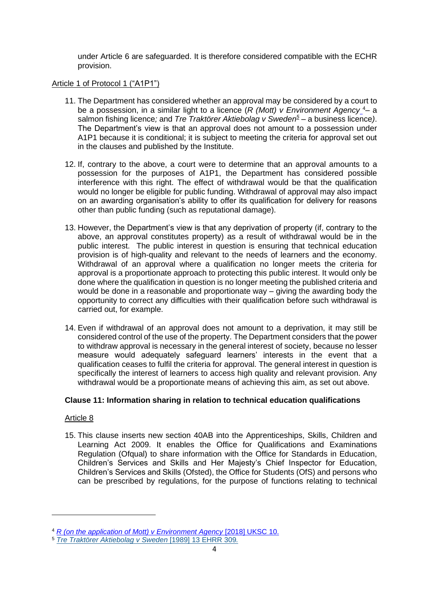under Article 6 are safeguarded. It is therefore considered compatible with the ECHR provision.

#### Article 1 of Protocol 1 ("A1P1")

- 11. The Department has considered whether an approval may be considered by a court to be a possession, in a similar light to a licence (*R (Mott) v Environment Agency* <sup>4</sup>*–* a salmon fishing licence*;* and *Tre Traktörer Aktiebolag v Sweden<sup>5</sup> –* a business licence*)*. The Department's view is that an approval does not amount to a possession under A1P1 because it is conditional; it is subject to meeting the criteria for approval set out in the clauses and published by the Institute.
- 12. If, contrary to the above, a court were to determine that an approval amounts to a possession for the purposes of A1P1, the Department has considered possible interference with this right. The effect of withdrawal would be that the qualification would no longer be eligible for public funding. Withdrawal of approval may also impact on an awarding organisation's ability to offer its qualification for delivery for reasons other than public funding (such as reputational damage).
- 13. However, the Department's view is that any deprivation of property (if, contrary to the above, an approval constitutes property) as a result of withdrawal would be in the public interest. The public interest in question is ensuring that technical education provision is of high-quality and relevant to the needs of learners and the economy. Withdrawal of an approval where a qualification no longer meets the criteria for approval is a proportionate approach to protecting this public interest. It would only be done where the qualification in question is no longer meeting the published criteria and would be done in a reasonable and proportionate way – giving the awarding body the opportunity to correct any difficulties with their qualification before such withdrawal is carried out, for example.
- 14. Even if withdrawal of an approval does not amount to a deprivation, it may still be considered control of the use of the property. The Department considers that the power to withdraw approval is necessary in the general interest of society, because no lesser measure would adequately safeguard learners' interests in the event that a qualification ceases to fulfil the criteria for approval. The general interest in question is specifically the interest of learners to access high quality and relevant provision. Any withdrawal would be a proportionate means of achieving this aim, as set out above.

# **Clause 11: Information sharing in relation to technical education qualifications**

# Article 8

15. This clause inserts new section 40AB into the Apprenticeships, Skills, Children and Learning Act 2009. It enables the Office for Qualifications and Examinations Regulation (Ofqual) to share information with the Office for Standards in Education, Children's Services and Skills and Her Majesty's Chief Inspector for Education, Children's Services and Skills (Ofsted), the Office for Students (OfS) and persons who can be prescribed by regulations, for the purpose of functions relating to technical

<sup>4</sup> *[R \(on the application of Mott\) v Environment Agency](https://uk.westlaw.com/Document/I08239EE0117811E89ADCC4C6600546D0/View/FullText.html?navigationPath=Search%2Fv1%2Fresults%2Fnavigation%2Fi0ad74012000001791386013938699679%3Fppcid%3Ded8ce9509a9b4ac99200020be257cdb4%26Nav%3DRESEARCH_COMBINED_WLUK%26fragmentIdentifier%3DI49D22DC01B1E11E8AD31DA9C1087CCE8%26parentRank%3D0%26startIndex%3D1%26contextData%3D%2528sc.Search%2529%26transitionType%3DSearchItem&listSource=Search&listPageSource=2efb2a627e72d148df41f60b997c1543&list=RESEARCH_COMBINED_WLUK&rank=1&sessionScopeId=3b957f3450dc91e6c88c62e2a4fc3cb3a11d47e4f6bc0442ecafae7affa3da05&ppcid=ed8ce9509a9b4ac99200020be257cdb4&originationContext=Search%20Result&transitionType=SearchItem&contextData=(sc.Search)&comp=wluk&navId=8AEBBF33021077838F1FDA2A115C0D09)* [2018] UKSC 10.

<sup>5</sup> *Tre Traktörer [Aktiebolag](https://uk.westlaw.com/D-002-8322?originationContext=document&transitionType=PLDocumentLink&contextData=%28sc.Default%29&comp=pluk) v Sweden* [1989] 13 EHRR 309*.*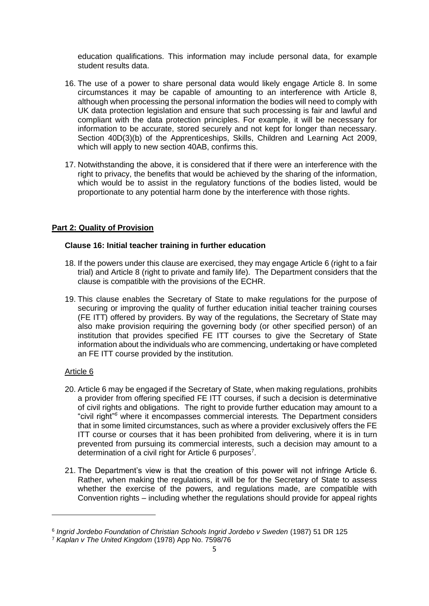education qualifications. This information may include personal data, for example student results data.

- 16. The use of a power to share personal data would likely engage Article 8. In some circumstances it may be capable of amounting to an interference with Article 8, although when processing the personal information the bodies will need to comply with UK data protection legislation and ensure that such processing is fair and lawful and compliant with the data protection principles. For example, it will be necessary for information to be accurate, stored securely and not kept for longer than necessary. Section 40D(3)(b) of the Apprenticeships, Skills, Children and Learning Act 2009, which will apply to new section 40AB, confirms this.
- 17. Notwithstanding the above, it is considered that if there were an interference with the right to privacy, the benefits that would be achieved by the sharing of the information, which would be to assist in the regulatory functions of the bodies listed, would be proportionate to any potential harm done by the interference with those rights.

# **Part 2: Quality of Provision**

#### **Clause 16: Initial teacher training in further education**

- 18. If the powers under this clause are exercised, they may engage Article 6 (right to a fair trial) and Article 8 (right to private and family life). The Department considers that the clause is compatible with the provisions of the ECHR.
- 19. This clause enables the Secretary of State to make regulations for the purpose of securing or improving the quality of further education initial teacher training courses (FE ITT) offered by providers. By way of the regulations, the Secretary of State may also make provision requiring the governing body (or other specified person) of an institution that provides specified FE ITT courses to give the Secretary of State information about the individuals who are commencing, undertaking or have completed an FE ITT course provided by the institution.

- 20. Article 6 may be engaged if the Secretary of State, when making regulations, prohibits a provider from offering specified FE ITT courses, if such a decision is determinative of civil rights and obligations. The right to provide further education may amount to a "civil right"*<sup>6</sup>* where it encompasses commercial interests*.* The Department considers that in some limited circumstances, such as where a provider exclusively offers the FE ITT course or courses that it has been prohibited from delivering, where it is in turn prevented from pursuing its commercial interests, such a decision may amount to a determination of a civil right for Article 6 purposes<sup>7</sup>.
- 21. The Department's view is that the creation of this power will not infringe Article 6. Rather, when making the regulations, it will be for the Secretary of State to assess whether the exercise of the powers, and regulations made, are compatible with Convention rights – including whether the regulations should provide for appeal rights

<sup>6</sup> *Ingrid Jordebo Foundation of Christian Schools Ingrid Jordebo v Sweden* (1987) 51 DR 125

<sup>7</sup> *Kaplan v The United Kingdom* (1978) App No. 7598/76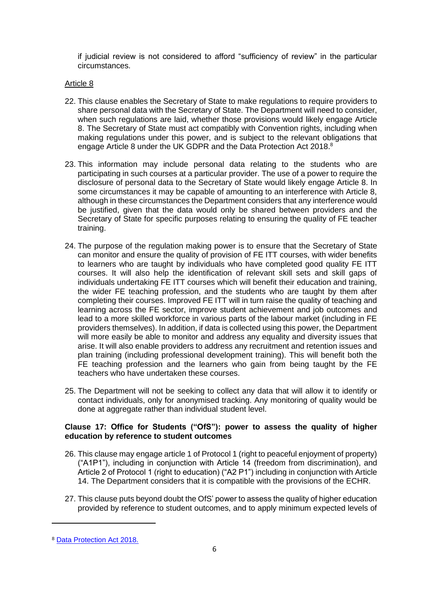if judicial review is not considered to afford "sufficiency of review" in the particular circumstances.

#### Article 8

- 22. This clause enables the Secretary of State to make regulations to require providers to share personal data with the Secretary of State. The Department will need to consider, when such regulations are laid, whether those provisions would likely engage Article 8. The Secretary of State must act compatibly with Convention rights, including when making regulations under this power, and is subject to the relevant obligations that engage Article 8 under the UK GDPR and the Data Protection Act 2018.<sup>8</sup>
- 23. This information may include personal data relating to the students who are participating in such courses at a particular provider. The use of a power to require the disclosure of personal data to the Secretary of State would likely engage Article 8. In some circumstances it may be capable of amounting to an interference with Article 8, although in these circumstances the Department considers that any interference would be justified, given that the data would only be shared between providers and the Secretary of State for specific purposes relating to ensuring the quality of FE teacher training.
- 24. The purpose of the regulation making power is to ensure that the Secretary of State can monitor and ensure the quality of provision of FE ITT courses, with wider benefits to learners who are taught by individuals who have completed good quality FE ITT courses. It will also help the identification of relevant skill sets and skill gaps of individuals undertaking FE ITT courses which will benefit their education and training, the wider FE teaching profession, and the students who are taught by them after completing their courses. Improved FE ITT will in turn raise the quality of teaching and learning across the FE sector, improve student achievement and job outcomes and lead to a more skilled workforce in various parts of the labour market (including in FE providers themselves). In addition, if data is collected using this power, the Department will more easily be able to monitor and address any equality and diversity issues that arise. It will also enable providers to address any recruitment and retention issues and plan training (including professional development training). This will benefit both the FE teaching profession and the learners who gain from being taught by the FE teachers who have undertaken these courses.
- 25. The Department will not be seeking to collect any data that will allow it to identify or contact individuals, only for anonymised tracking. Any monitoring of quality would be done at aggregate rather than individual student level.

#### **Clause 17: Office for Students ("OfS"): power to assess the quality of higher education by reference to student outcomes**

- 26. This clause may engage article 1 of Protocol 1 (right to peaceful enjoyment of property) ("A1P1"), including in conjunction with Article 14 (freedom from discrimination), and Article 2 of Protocol 1 (right to education) ("A2 P1") including in conjunction with Article 14. The Department considers that it is compatible with the provisions of the ECHR.
- 27. This clause puts beyond doubt the OfS' power to assess the quality of higher education provided by reference to student outcomes, and to apply minimum expected levels of

<sup>8</sup> [Data Protection Act 2018.](https://www.legislation.gov.uk/ukpga/2018/12/contents/enacted)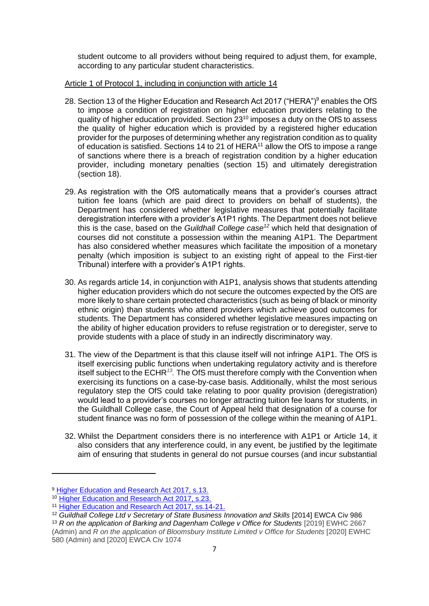student outcome to all providers without being required to adjust them, for example, according to any particular student characteristics.

#### Article 1 of Protocol 1, including in conjunction with article 14

- 28. Section 13 of the Higher Education and Research Act 2017 ("HERA")<sup>9</sup> enables the OfS to impose a condition of registration on higher education providers relating to the quality of higher education provided. Section 23<sup>10</sup> imposes a duty on the OfS to assess the quality of higher education which is provided by a registered higher education provider for the purposes of determining whether any registration condition as to quality of education is satisfied. Sections 14 to 21 of  $HERA<sup>11</sup>$  allow the OfS to impose a range of sanctions where there is a breach of registration condition by a higher education provider, including monetary penalties (section 15) and ultimately deregistration (section 18).
- 29. As registration with the OfS automatically means that a provider's courses attract tuition fee loans (which are paid direct to providers on behalf of students), the Department has considered whether legislative measures that potentially facilitate deregistration interfere with a provider's A1P1 rights. The Department does not believe this is the case, based on the *Guildhall College case<sup>12</sup>* which held that designation of courses did not constitute a possession within the meaning A1P1. The Department has also considered whether measures which facilitate the imposition of a monetary penalty (which imposition is subject to an existing right of appeal to the First-tier Tribunal) interfere with a provider's A1P1 rights.
- 30. As regards article 14, in conjunction with A1P1, analysis shows that students attending higher education providers which do not secure the outcomes expected by the OfS are more likely to share certain protected characteristics (such as being of black or minority ethnic origin) than students who attend providers which achieve good outcomes for students. The Department has considered whether legislative measures impacting on the ability of higher education providers to refuse registration or to deregister, serve to provide students with a place of study in an indirectly discriminatory way.
- 31. The view of the Department is that this clause itself will not infringe A1P1. The OfS is itself exercising public functions when undertaking regulatory activity and is therefore itself subject to the ECHR*<sup>13</sup> .* The OfS must therefore comply with the Convention when exercising its functions on a case-by-case basis. Additionally, whilst the most serious regulatory step the OfS could take relating to poor quality provision (deregistration) would lead to a provider's courses no longer attracting tuition fee loans for students, in the Guildhall College case, the Court of Appeal held that designation of a course for student finance was no form of possession of the college within the meaning of A1P1.
- 32. Whilst the Department considers there is no interference with A1P1 or Article 14, it also considers that any interference could, in any event, be justified by the legitimate aim of ensuring that students in general do not pursue courses (and incur substantial

<sup>9</sup> [Higher Education and Research Act 2017, s.13.](https://www.legislation.gov.uk/ukpga/2017/29/section/13/enacted)

<sup>&</sup>lt;sup>10</sup> [Higher Education and Research Act 2017, s.23.](https://www.legislation.gov.uk/ukpga/2017/29/section/23/enacted)

<sup>&</sup>lt;sup>11</sup> [Higher Education and Research Act 2017, ss.14-21.](https://www.legislation.gov.uk/ukpga/2017/29/contents/enacted)

<sup>&</sup>lt;sup>12</sup> Guildhall College Ltd v Secretary of State Business Innovation and Skills [2014] EWCA Civ 986

<sup>&</sup>lt;sup>13</sup> *R* on the application of Barking and Dagenham College v Office for Students [2019] EWHC 2667 (Admin) and *R on the application of Bloomsbury Institute Limited v Office for Students* [2020] EWHC 580 (Admin) and [2020] EWCA Civ 1074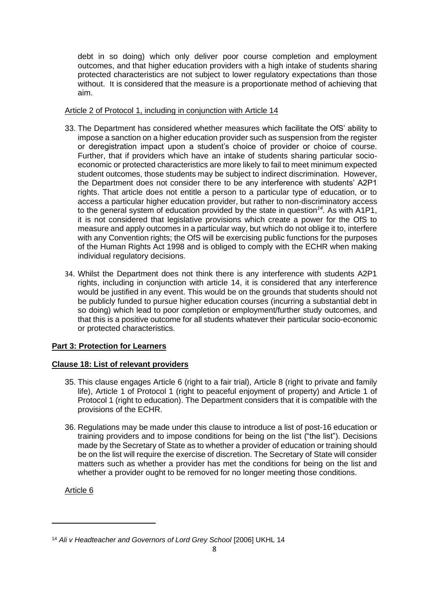debt in so doing) which only deliver poor course completion and employment outcomes, and that higher education providers with a high intake of students sharing protected characteristics are not subject to lower regulatory expectations than those without. It is considered that the measure is a proportionate method of achieving that aim.

## Article 2 of Protocol 1, including in conjunction with Article 14

- 33. The Department has considered whether measures which facilitate the OfS' ability to impose a sanction on a higher education provider such as suspension from the register or deregistration impact upon a student's choice of provider or choice of course. Further, that if providers which have an intake of students sharing particular socioeconomic or protected characteristics are more likely to fail to meet minimum expected student outcomes, those students may be subject to indirect discrimination. However, the Department does not consider there to be any interference with students' A2P1 rights. That article does not entitle a person to a particular type of education, or to access a particular higher education provider, but rather to non-discriminatory access to the general system of education provided by the state in question*<sup>14</sup> .* As with A1P1, it is not considered that legislative provisions which create a power for the OfS to measure and apply outcomes in a particular way, but which do not oblige it to, interfere with any Convention rights; the OfS will be exercising public functions for the purposes of the Human Rights Act 1998 and is obliged to comply with the ECHR when making individual regulatory decisions.
- 34. Whilst the Department does not think there is any interference with students A2P1 rights, including in conjunction with article 14, it is considered that any interference would be justified in any event. This would be on the grounds that students should not be publicly funded to pursue higher education courses (incurring a substantial debt in so doing) which lead to poor completion or employment/further study outcomes, and that this is a positive outcome for all students whatever their particular socio-economic or protected characteristics.

# **Part 3: Protection for Learners**

# **Clause 18: List of relevant providers**

- 35. This clause engages Article 6 (right to a fair trial), Article 8 (right to private and family life), Article 1 of Protocol 1 (right to peaceful enjoyment of property) and Article 1 of Protocol 1 (right to education). The Department considers that it is compatible with the provisions of the ECHR.
- 36. Regulations may be made under this clause to introduce a list of post-16 education or training providers and to impose conditions for being on the list ("the list"). Decisions made by the Secretary of State as to whether a provider of education or training should be on the list will require the exercise of discretion. The Secretary of State will consider matters such as whether a provider has met the conditions for being on the list and whether a provider ought to be removed for no longer meeting those conditions.

<sup>&</sup>lt;sup>14</sup> Ali v Headteacher and Governors of Lord Grey School [2006] UKHL 14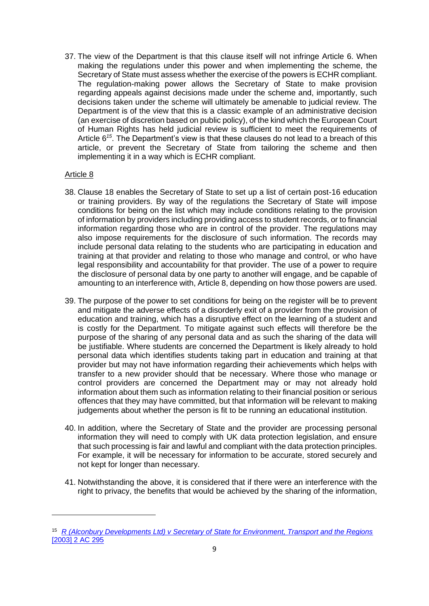37. The view of the Department is that this clause itself will not infringe Article 6. When making the regulations under this power and when implementing the scheme, the Secretary of State must assess whether the exercise of the powers is ECHR compliant. The regulation-making power allows the Secretary of State to make provision regarding appeals against decisions made under the scheme and, importantly, such decisions taken under the scheme will ultimately be amenable to judicial review. The Department is of the view that this is a classic example of an administrative decision (an exercise of discretion based on public policy), of the kind which the European Court of Human Rights has held judicial review is sufficient to meet the requirements of Article 6<sup>15</sup>. The Department's view is that these clauses do not lead to a breach of this article, or prevent the Secretary of State from tailoring the scheme and then implementing it in a way which is ECHR compliant.

- 38. Clause 18 enables the Secretary of State to set up a list of certain post-16 education or training providers. By way of the regulations the Secretary of State will impose conditions for being on the list which may include conditions relating to the provision of information by providers including providing access to student records, or to financial information regarding those who are in control of the provider. The regulations may also impose requirements for the disclosure of such information. The records may include personal data relating to the students who are participating in education and training at that provider and relating to those who manage and control, or who have legal responsibility and accountability for that provider. The use of a power to require the disclosure of personal data by one party to another will engage, and be capable of amounting to an interference with, Article 8, depending on how those powers are used.
- 39. The purpose of the power to set conditions for being on the register will be to prevent and mitigate the adverse effects of a disorderly exit of a provider from the provision of education and training, which has a disruptive effect on the learning of a student and is costly for the Department. To mitigate against such effects will therefore be the purpose of the sharing of any personal data and as such the sharing of the data will be justifiable. Where students are concerned the Department is likely already to hold personal data which identifies students taking part in education and training at that provider but may not have information regarding their achievements which helps with transfer to a new provider should that be necessary. Where those who manage or control providers are concerned the Department may or may not already hold information about them such as information relating to their financial position or serious offences that they may have committed, but that information will be relevant to making judgements about whether the person is fit to be running an educational institution.
- 40. In addition, where the Secretary of State and the provider are processing personal information they will need to comply with UK data protection legislation, and ensure that such processing is fair and lawful and compliant with the data protection principles. For example, it will be necessary for information to be accurate, stored securely and not kept for longer than necessary.
- 41. Notwithstanding the above, it is considered that if there were an interference with the right to privacy, the benefits that would be achieved by the sharing of the information,

<sup>15</sup> *[R \(Alconbury Developments Ltd\) v Secretary of State for Environment, Transport and the Regions](http://www.publications.parliament.uk/pa/ld200001/ldjudgmt/jd010509/alcon-1.htm)* [\[2003\] 2 AC 295](http://www.publications.parliament.uk/pa/ld200001/ldjudgmt/jd010509/alcon-1.htm)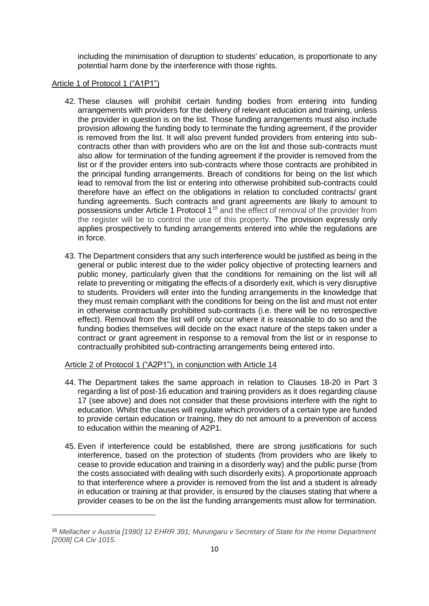including the minimisation of disruption to students' education, is proportionate to any potential harm done by the interference with those rights.

#### Article 1 of Protocol 1 ("A1P1")

- 42. These clauses will prohibit certain funding bodies from entering into funding arrangements with providers for the delivery of relevant education and training, unless the provider in question is on the list. Those funding arrangements must also include provision allowing the funding body to terminate the funding agreement, if the provider is removed from the list. It will also prevent funded providers from entering into subcontracts other than with providers who are on the list and those sub-contracts must also allow for termination of the funding agreement if the provider is removed from the list or if the provider enters into sub-contracts where those contracts are prohibited in the principal funding arrangements. Breach of conditions for being on the list which lead to removal from the list or entering into otherwise prohibited sub-contracts could therefore have an effect on the obligations in relation to concluded contracts/ grant funding agreements. Such contracts and grant agreements are likely to amount to possessions under Article 1 Protocol 1*<sup>16</sup>* and the effect of removal of the provider from the register will be to control the use of this property. The provision expressly only applies prospectively to funding arrangements entered into while the regulations are in force.
- 43. The Department considers that any such interference would be justified as being in the general or public interest due to the wider policy objective of protecting learners and public money, particularly given that the conditions for remaining on the list will all relate to preventing or mitigating the effects of a disorderly exit, which is very disruptive to students. Providers will enter into the funding arrangements in the knowledge that they must remain compliant with the conditions for being on the list and must not enter in otherwise contractually prohibited sub-contracts (i.e. there will be no retrospective effect). Removal from the list will only occur where it is reasonable to do so and the funding bodies themselves will decide on the exact nature of the steps taken under a contract or grant agreement in response to a removal from the list or in response to contractually prohibited sub-contracting arrangements being entered into.

Article 2 of Protocol 1 ("A2P1"), in conjunction with Article 14

- 44. The Department takes the same approach in relation to Clauses 18-20 in Part 3 regarding a list of post-16 education and training providers as it does regarding clause 17 (see above) and does not consider that these provisions interfere with the right to education. Whilst the clauses will regulate which providers of a certain type are funded to provide certain education or training, they do not amount to a prevention of access to education within the meaning of A2P1.
- 45. Even if interference could be established, there are strong justifications for such interference, based on the protection of students (from providers who are likely to cease to provide education and training in a disorderly way) and the public purse (from the costs associated with dealing with such disorderly exits). A proportionate approach to that interference where a provider is removed from the list and a student is already in education or training at that provider, is ensured by the clauses stating that where a provider ceases to be on the list the funding arrangements must allow for termination.

<sup>16</sup> *Mellacher v Austria [1990] 12 EHRR 391; Murungaru v Secretary of State for the Home Department [2008] CA Civ 1015.*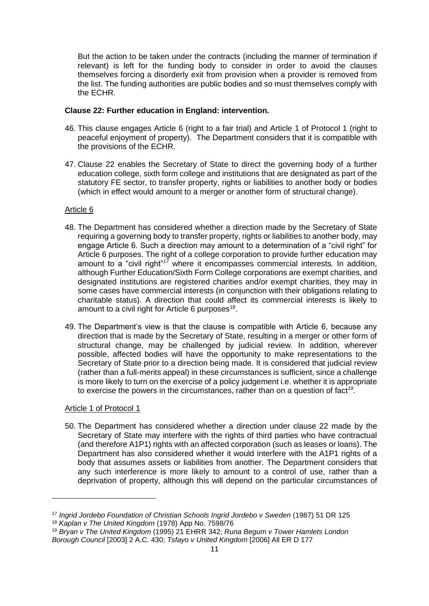But the action to be taken under the contracts (including the manner of termination if relevant) is left for the funding body to consider in order to avoid the clauses themselves forcing a disorderly exit from provision when a provider is removed from the list. The funding authorities are public bodies and so must themselves comply with the ECHR.

#### **Clause 22: Further education in England: intervention.**

- 46. This clause engages Article 6 (right to a fair trial) and Article 1 of Protocol 1 (right to peaceful enjoyment of property). The Department considers that it is compatible with the provisions of the ECHR.
- 47. Clause 22 enables the Secretary of State to direct the governing body of a further education college, sixth form college and institutions that are designated as part of the statutory FE sector, to transfer property, rights or liabilities to another body or bodies (which in effect would amount to a merger or another form of structural change).

#### Article 6

- 48. The Department has considered whether a direction made by the Secretary of State requiring a governing body to transfer property, rights or liabilities to another body, may engage Article 6. Such a direction may amount to a determination of a "civil right" for Article 6 purposes. The right of a college corporation to provide further education may amount to a "civil right"*<sup>17</sup>* where it encompasses commercial interests*.* In addition, although Further Education/Sixth Form College corporations are exempt charities, and designated institutions are registered charities and/or exempt charities, they may in some cases have commercial interests (in conjunction with their obligations relating to charitable status). A direction that could affect its commercial interests is likely to amount to a civil right for Article 6 purposes $18$ .
- 49. The Department's view is that the clause is compatible with Article 6, because any direction that is made by the Secretary of State, resulting in a merger or other form of structural change, may be challenged by judicial review. In addition, wherever possible, affected bodies will have the opportunity to make representations to the Secretary of State prior to a direction being made. It is considered that judicial review (rather than a full-merits appeal) in these circumstances is sufficient, since a challenge is more likely to turn on the exercise of a policy judgement i.e. whether it is appropriate to exercise the powers in the circumstances, rather than on a question of fact*<sup>19</sup> .*

#### Article 1 of Protocol 1

50. The Department has considered whether a direction under clause 22 made by the Secretary of State may interfere with the rights of third parties who have contractual (and therefore A1P1) rights with an affected corporation (such as leases or loans). The Department has also considered whether it would interfere with the A1P1 rights of a body that assumes assets or liabilities from another. The Department considers that any such interference is more likely to amount to a control of use, rather than a deprivation of property, although this will depend on the particular circumstances of

<sup>17</sup> *Ingrid Jordebo Foundation of Christian Schools Ingrid Jordebo v Sweden* (1987) 51 DR 125

<sup>18</sup> *Kaplan v The United Kingdom* (1978) App No. 7598/76

<sup>19</sup> *Bryan v The United Kingdom* (1995) 21 EHRR 342; *Runa Begum v Tower Hamlets London Borough Council* [2003] 2 A.C. 430; *Tsfayo v United Kingdom* [2006] All ER D 177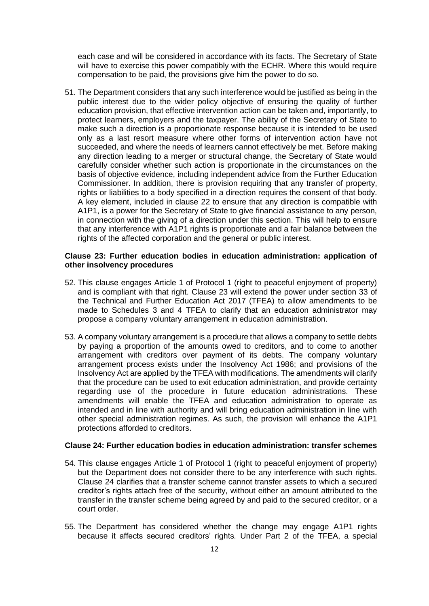each case and will be considered in accordance with its facts. The Secretary of State will have to exercise this power compatibly with the ECHR. Where this would require compensation to be paid, the provisions give him the power to do so.

51. The Department considers that any such interference would be justified as being in the public interest due to the wider policy objective of ensuring the quality of further education provision, that effective intervention action can be taken and, importantly, to protect learners, employers and the taxpayer. The ability of the Secretary of State to make such a direction is a proportionate response because it is intended to be used only as a last resort measure where other forms of intervention action have not succeeded, and where the needs of learners cannot effectively be met. Before making any direction leading to a merger or structural change, the Secretary of State would carefully consider whether such action is proportionate in the circumstances on the basis of objective evidence, including independent advice from the Further Education Commissioner. In addition, there is provision requiring that any transfer of property, rights or liabilities to a body specified in a direction requires the consent of that body. A key element, included in clause 22 to ensure that any direction is compatible with A1P1, is a power for the Secretary of State to give financial assistance to any person, in connection with the giving of a direction under this section. This will help to ensure that any interference with A1P1 rights is proportionate and a fair balance between the rights of the affected corporation and the general or public interest.

#### **Clause 23: Further education bodies in education administration: application of other insolvency procedures**

- 52. This clause engages Article 1 of Protocol 1 (right to peaceful enjoyment of property) and is compliant with that right. Clause 23 will extend the power under section 33 of the Technical and Further Education Act 2017 (TFEA) to allow amendments to be made to Schedules 3 and 4 TFEA to clarify that an education administrator may propose a company voluntary arrangement in education administration.
- 53. A company voluntary arrangement is a procedure that allows a company to settle debts by paying a proportion of the amounts owed to creditors, and to come to another arrangement with creditors over payment of its debts. The company voluntary arrangement process exists under the Insolvency Act 1986; and provisions of the Insolvency Act are applied by the TFEA with modifications. The amendments will clarify that the procedure can be used to exit education administration, and provide certainty regarding use of the procedure in future education administrations. These amendments will enable the TFEA and education administration to operate as intended and in line with authority and will bring education administration in line with other special administration regimes. As such, the provision will enhance the A1P1 protections afforded to creditors.

# **Clause 24: Further education bodies in education administration: transfer schemes**

- 54. This clause engages Article 1 of Protocol 1 (right to peaceful enjoyment of property) but the Department does not consider there to be any interference with such rights. Clause 24 clarifies that a transfer scheme cannot transfer assets to which a secured creditor's rights attach free of the security, without either an amount attributed to the transfer in the transfer scheme being agreed by and paid to the secured creditor, or a court order.
- 55. The Department has considered whether the change may engage A1P1 rights because it affects secured creditors' rights*.* Under Part 2 of the TFEA, a special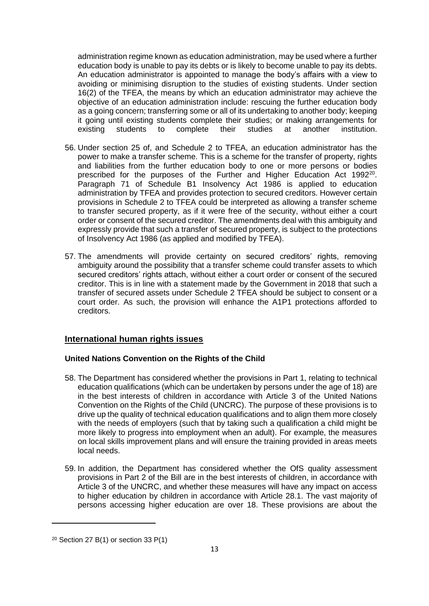administration regime known as education administration, may be used where a further education body is unable to pay its debts or is likely to become unable to pay its debts. An education administrator is appointed to manage the body's affairs with a view to avoiding or minimising disruption to the studies of existing students. Under section 16(2) of the TFEA, the means by which an education administrator may achieve the objective of an education administration include: rescuing the further education body as a going concern; transferring some or all of its undertaking to another body; keeping it going until existing students complete their studies; or making arrangements for existing students to complete their studies at another institution.

- 56. Under section 25 of, and Schedule 2 to TFEA, an education administrator has the power to make a transfer scheme. This is a scheme for the transfer of property, rights and liabilities from the further education body to one or more persons or bodies prescribed for the purposes of the Further and Higher Education Act 1992<sup>20</sup>. Paragraph 71 of Schedule B1 Insolvency Act 1986 is applied to education administration by TFEA and provides protection to secured creditors. However certain provisions in Schedule 2 to TFEA could be interpreted as allowing a transfer scheme to transfer secured property, as if it were free of the security, without either a court order or consent of the secured creditor. The amendments deal with this ambiguity and expressly provide that such a transfer of secured property, is subject to the protections of Insolvency Act 1986 (as applied and modified by TFEA).
- 57. The amendments will provide certainty on secured creditors' rights, removing ambiguity around the possibility that a transfer scheme could transfer assets to which secured creditors' rights attach, without either a court order or consent of the secured creditor. This is in line with a statement made by the Government in 2018 that such a transfer of secured assets under Schedule 2 TFEA should be subject to consent or a court order. As such, the provision will enhance the A1P1 protections afforded to creditors.

# **International human rights issues**

#### **United Nations Convention on the Rights of the Child**

- 58. The Department has considered whether the provisions in Part 1, relating to technical education qualifications (which can be undertaken by persons under the age of 18) are in the best interests of children in accordance with Article 3 of the United Nations Convention on the Rights of the Child (UNCRC). The purpose of these provisions is to drive up the quality of technical education qualifications and to align them more closely with the needs of employers (such that by taking such a qualification a child might be more likely to progress into employment when an adult). For example, the measures on local skills improvement plans and will ensure the training provided in areas meets local needs.
- 59. In addition, the Department has considered whether the OfS quality assessment provisions in Part 2 of the Bill are in the best interests of children, in accordance with Article 3 of the UNCRC, and whether these measures will have any impact on access to higher education by children in accordance with Article 28.1. The vast majority of persons accessing higher education are over 18. These provisions are about the

 $20$  Section 27 B(1) or section 33 P(1)